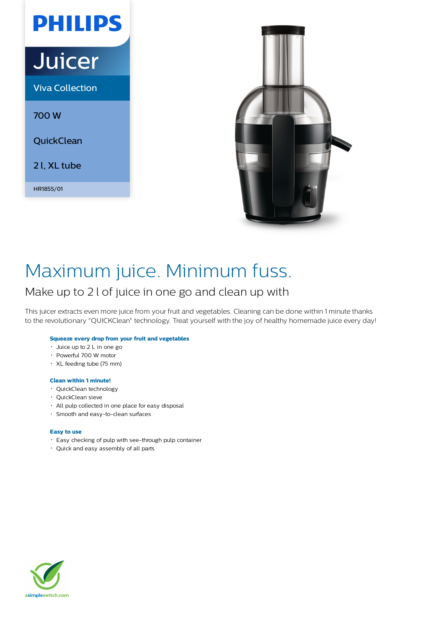# **PHILIPS**

# **Juicer**

Viva Collection

700 W

**QuickClean** 

2 l, XL tube

HR1855/01



# Maximum juice. Minimum fuss.

# Make up to 2 l of juice in one go and clean up with

This juicer extracts even more juice from your fruit and vegetables. Cleaning can be done within 1 minute thanks to the revolutionary "QUICKClean" technology. Treat yourself with the joy of healthy homemade juice every day!

# **Squeeze every drop from your fruit and vegetables**

- Juice up to 2 L in one go
- Powerful 700 W motor
- XL feeding tube (75 mm)

### **Clean within 1 minute!**

- QuickClean technology
- QuickClean sieve
- All pulp collected in one place for easy disposal
- Smooth and easy-to-clean surfaces

### **Easy to use**

- Easy checking of pulp with see-through pulp container
- Quick and easy assembly of all parts

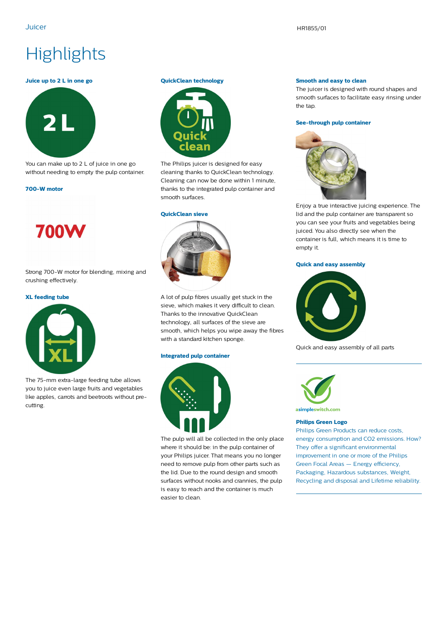# **Highlights**

#### **Juice up to 2 L in one go**



You can make up to 2 L of juice in one go without needing to empty the pulp container.

#### **700-W motor**



Strong 700-W motor for blending, mixing and crushing effectively.

#### **XL feeding tube**



The 75-mm extra-large feeding tube allows you to juice even large fruits and vegetables like apples, carrots and beetroots without precutting.

#### **QuickClean technology**



The Philips juicer is designed for easy cleaning thanks to QuickClean technology. Cleaning can now be done within 1 minute, thanks to the integrated pulp container and smooth surfaces.

#### **QuickClean sieve**



A lot of pulp fibres usually get stuck in the sieve, which makes it very difficult to clean. Thanks to the innovative QuickClean technology, all surfaces of the sieve are smooth, which helps you wipe away the fibres with a standard kitchen sponge.

#### **Integrated pulp container**



The pulp will all be collected in the only place where it should be: in the pulp container of your Philips juicer. That means you no longer need to remove pulp from other parts such as the lid. Due to the round design and smooth surfaces without nooks and crannies, the pulp is easy to reach and the container is much easier to clean.

#### **Smooth and easy to clean**

The juicer is designed with round shapes and smooth surfaces to facilitate easy rinsing under the tap.

#### **See-through pulp container**



Enjoy a true interactive juicing experience. The lid and the pulp container are transparent so you can see your fruits and vegetables being juiced. You also directly see when the container is full, which means it is time to empty it.

#### **Quick and easy assembly**



Quick and easy assembly of all parts



asimpleswitch.com

### **Philips Green Logo**

Philips Green Products can reduce costs, energy consumption and CO2 emissions. How? They offer a significant environmental improvement in one or more of the Philips Green Focal Areas — Energy efficiency, Packaging, Hazardous substances, Weight, Recycling and disposal and Lifetime reliability.